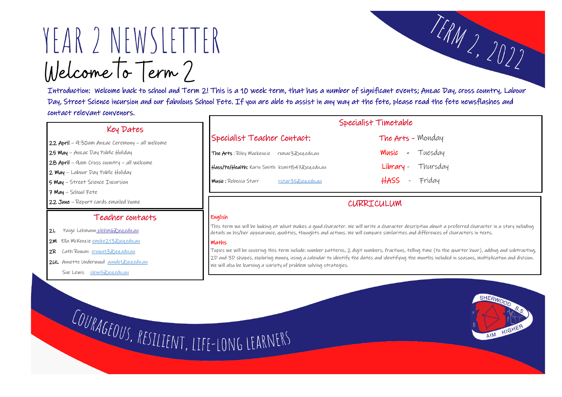# YEAR 2 NEWSLETTER Welcome To Term?

Introduction: Welcome back to school and Term 2! This is a 10 week term, that has a number of significant events; Anzac Day, cross country, Labour Day, Street Science incursion and our fabulous School Fete. If you are able to assist in any way at the fete, please read the fete newsflashes and contact relevant convenors.

#### Key Dates

22 April – 9:30am Anzac Ceremony – all welcome

25 May – Anzac Day Public Holiday

28 April – 9am Cross country – all welcome

2 May – Labour Day Public Holiday

5 May – Street Science Incursion

7 May – School Fete

22 June – Report cards emailed home

## Specialist Timetable Specialist Teacher Contact: The Arts - Monday The Arts: Riley Mackenzie rxmac3@eq.edu.au Music - Tuesday Hass/Pe/Health: Karin Smith ksmit847@eq.edu.au Library - Thursday Music : Rebecca Starr [rstar35@eq.edu.au](mailto:rstar35@eq.edu.au) HASS - Friday

#### Teacher contacts

2L Paige Lehmann plehm @eq.edu.au

2M Ella McKenzie [emcke213@eq.edu.au](mailto:emcke213@eq.edu.au)

2R Cath Rowan [crowa13@eq.edu.au](mailto:crowa13@eq.edu.au)

2UL Annette Underwood [aunde1@eq.edu.au](mailto:aunde1@eq.edu.au)

Sue Lewis [slewi5@eq.edu.au](mailto:slewi5@eq.edu.au)

## CURRICULUM

#### English

This term we will be looking at what makes a good character. We will write a character description about a preferred character in a story including details on his/her appearance, qualities, thoughts and actions. We will compare similarities and differences of characters in texts.

#### **Maths**

Topics we will be covering this term include: number patterns, 2 digit numbers, fractions, telling time (to the quarter hour), adding and subtracting, 2D and 3D shapes, exploring money, using a calendar to identify the dates and identifying the months included in seasons, multiplication and division. We will also be learning a variety of problem solving strategies.

COURAGEOUS, RESILIENT, LIFE-LONG LEARNERS